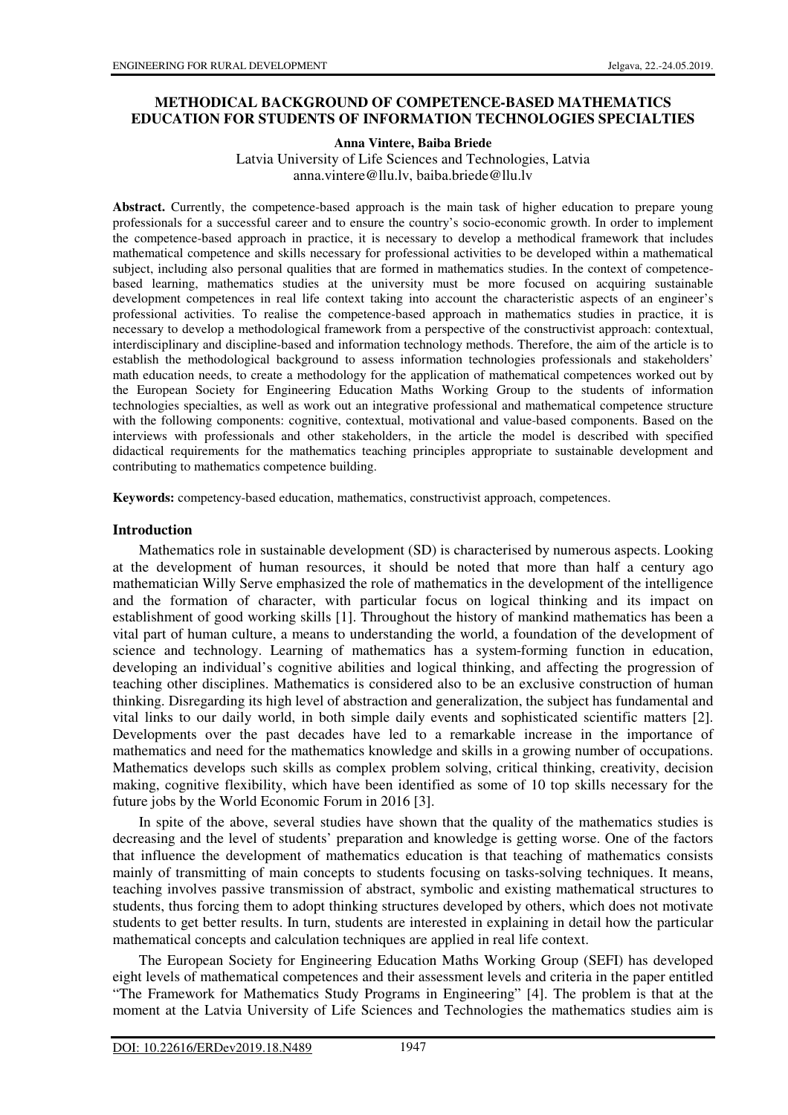#### **METHODICAL BACKGROUND OF COMPETENCE-BASED MATHEMATICS EDUCATION FOR STUDENTS OF INFORMATION TECHNOLOGIES SPECIALTIES**

**Anna Vintere, Baiba Briede** 

Latvia University of Life Sciences and Technologies, Latvia anna.vintere@llu.lv, baiba.briede@llu.lv

**Abstract.** Currently, the competence-based approach is the main task of higher education to prepare young professionals for a successful career and to ensure the country's socio-economic growth. In order to implement the competence-based approach in practice, it is necessary to develop a methodical framework that includes mathematical competence and skills necessary for professional activities to be developed within a mathematical subiect, including also personal qualities that are formed in mathematics studies. In the context of competencebased learning, mathematics studies at the university must be more focused on acquiring sustainable development competences in real life context taking into account the characteristic aspects of an engineer's professional activities. To realise the competence-based approach in mathematics studies in practice, it is necessary to develop a methodological framework from a perspective of the constructivist approach: contextual, interdisciplinary and discipline-based and information technology methods. Therefore, the aim of the article is to establish the methodological background to assess information technologies professionals and stakeholders' math education needs, to create a methodology for the application of mathematical competences worked out by the European Society for Engineering Education Maths Working Group to the students of information technologies specialties, as well as work out an integrative professional and mathematical competence structure with the following components: cognitive, contextual, motivational and value-based components. Based on the interviews with professionals and other stakeholders, in the article the model is described with specified didactical requirements for the mathematics teaching principles appropriate to sustainable development and contributing to mathematics competence building.

**Keywords:** competency-based education, mathematics, constructivist approach, competences.

#### **Introduction**

Mathematics role in sustainable development (SD) is characterised by numerous aspects. Looking at the development of human resources, it should be noted that more than half a century ago mathematician Willy Serve emphasized the role of mathematics in the development of the intelligence and the formation of character, with particular focus on logical thinking and its impact on establishment of good working skills [1]. Throughout the history of mankind mathematics has been a vital part of human culture, a means to understanding the world, a foundation of the development of science and technology. Learning of mathematics has a system-forming function in education, developing an individual's cognitive abilities and logical thinking, and affecting the progression of teaching other disciplines. Mathematics is considered also to be an exclusive construction of human thinking. Disregarding its high level of abstraction and generalization, the subject has fundamental and vital links to our daily world, in both simple daily events and sophisticated scientific matters [2]. Developments over the past decades have led to a remarkable increase in the importance of mathematics and need for the mathematics knowledge and skills in a growing number of occupations. Mathematics develops such skills as complex problem solving, critical thinking, creativity, decision making, cognitive flexibility, which have been identified as some of 10 top skills necessary for the future jobs by the World Economic Forum in 2016 [3].

In spite of the above, several studies have shown that the quality of the mathematics studies is decreasing and the level of students' preparation and knowledge is getting worse. One of the factors that influence the development of mathematics education is that teaching of mathematics consists mainly of transmitting of main concepts to students focusing on tasks-solving techniques. It means, teaching involves passive transmission of abstract, symbolic and existing mathematical structures to students, thus forcing them to adopt thinking structures developed by others, which does not motivate students to get better results. In turn, students are interested in explaining in detail how the particular mathematical concepts and calculation techniques are applied in real life context.

The European Society for Engineering Education Maths Working Group (SEFI) has developed eight levels of mathematical competences and their assessment levels and criteria in the paper entitled "The Framework for Mathematics Study Programs in Engineering" [4]. The problem is that at the moment at the Latvia University of Life Sciences and Technologies the mathematics studies aim is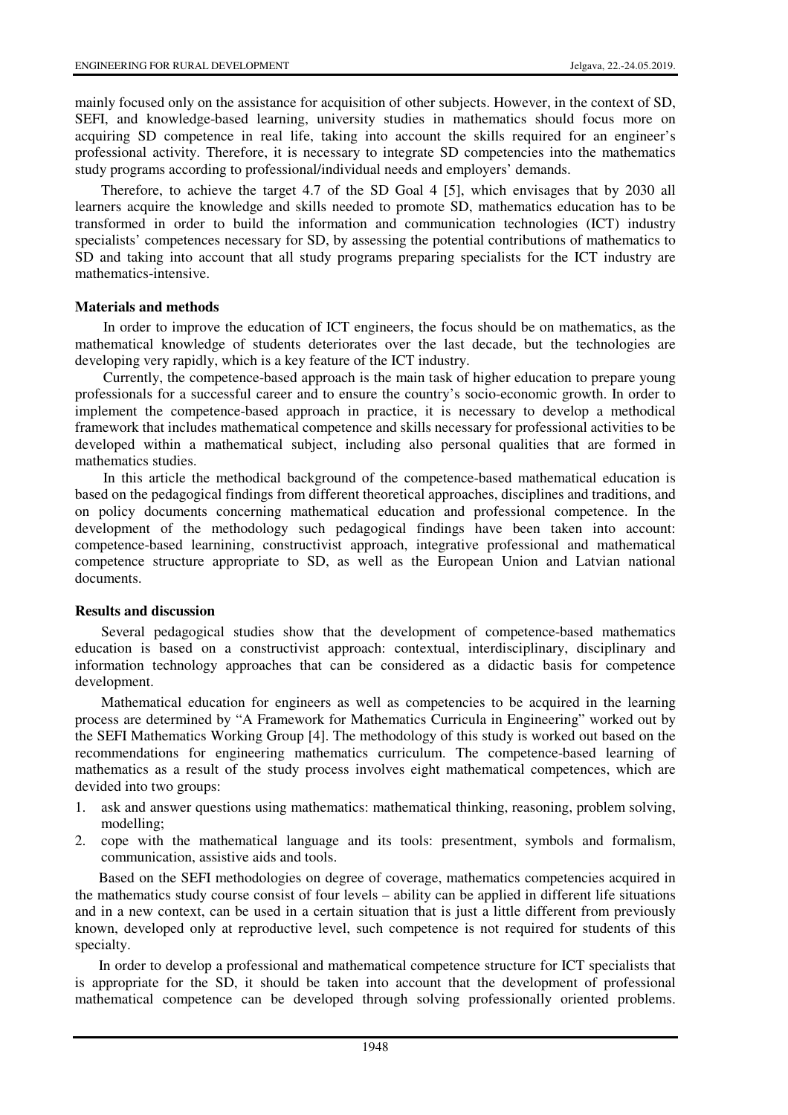mainly focused only on the assistance for acquisition of other subjects. However, in the context of SD, SEFI, and knowledge-based learning, university studies in mathematics should focus more on acquiring SD competence in real life, taking into account the skills required for an engineer's professional activity. Therefore, it is necessary to integrate SD competencies into the mathematics study programs according to professional/individual needs and employers' demands.

Therefore, to achieve the target 4.7 of the SD Goal 4 [5], which envisages that by 2030 all learners acquire the knowledge and skills needed to promote SD, mathematics education has to be transformed in order to build the information and communication technologies (ICT) industry specialists' competences necessary for SD, by assessing the potential contributions of mathematics to SD and taking into account that all study programs preparing specialists for the ICT industry are mathematics-intensive.

#### **Materials and methods**

In order to improve the education of ICT engineers, the focus should be on mathematics, as the mathematical knowledge of students deteriorates over the last decade, but the technologies are developing very rapidly, which is a key feature of the ICT industry.

Currently, the competence-based approach is the main task of higher education to prepare young professionals for a successful career and to ensure the country's socio-economic growth. In order to implement the competence-based approach in practice, it is necessary to develop a methodical framework that includes mathematical competence and skills necessary for professional activities to be developed within a mathematical subject, including also personal qualities that are formed in mathematics studies.

In this article the methodical background of the competence-based mathematical education is based on the pedagogical findings from different theoretical approaches, disciplines and traditions, and on policy documents concerning mathematical education and professional competence. In the development of the methodology such pedagogical findings have been taken into account: competence-based learnining, constructivist approach, integrative professional and mathematical competence structure appropriate to SD, as well as the European Union and Latvian national documents.

#### **Results and discussion**

Several pedagogical studies show that the development of competence-based mathematics education is based on a constructivist approach: contextual, interdisciplinary, disciplinary and information technology approaches that can be considered as a didactic basis for competence development.

Mathematical education for engineers as well as competencies to be acquired in the learning process are determined by "A Framework for Mathematics Curricula in Engineering" worked out by the SEFI Mathematics Working Group [4]. The methodology of this study is worked out based on the recommendations for engineering mathematics curriculum. The competence-based learning of mathematics as a result of the study process involves eight mathematical competences, which are devided into two groups:

- 1. ask and answer questions using mathematics: mathematical thinking, reasoning, problem solving, modelling;
- 2. cope with the mathematical language and its tools: presentment, symbols and formalism, communication, assistive aids and tools.

Based on the SEFI methodologies on degree of coverage, mathematics competencies acquired in the mathematics study course consist of four levels – ability can be applied in different life situations and in a new context, can be used in a certain situation that is just a little different from previously known, developed only at reproductive level, such competence is not required for students of this specialty.

In order to develop a professional and mathematical competence structure for ICT specialists that is appropriate for the SD, it should be taken into account that the development of professional mathematical competence can be developed through solving professionally oriented problems.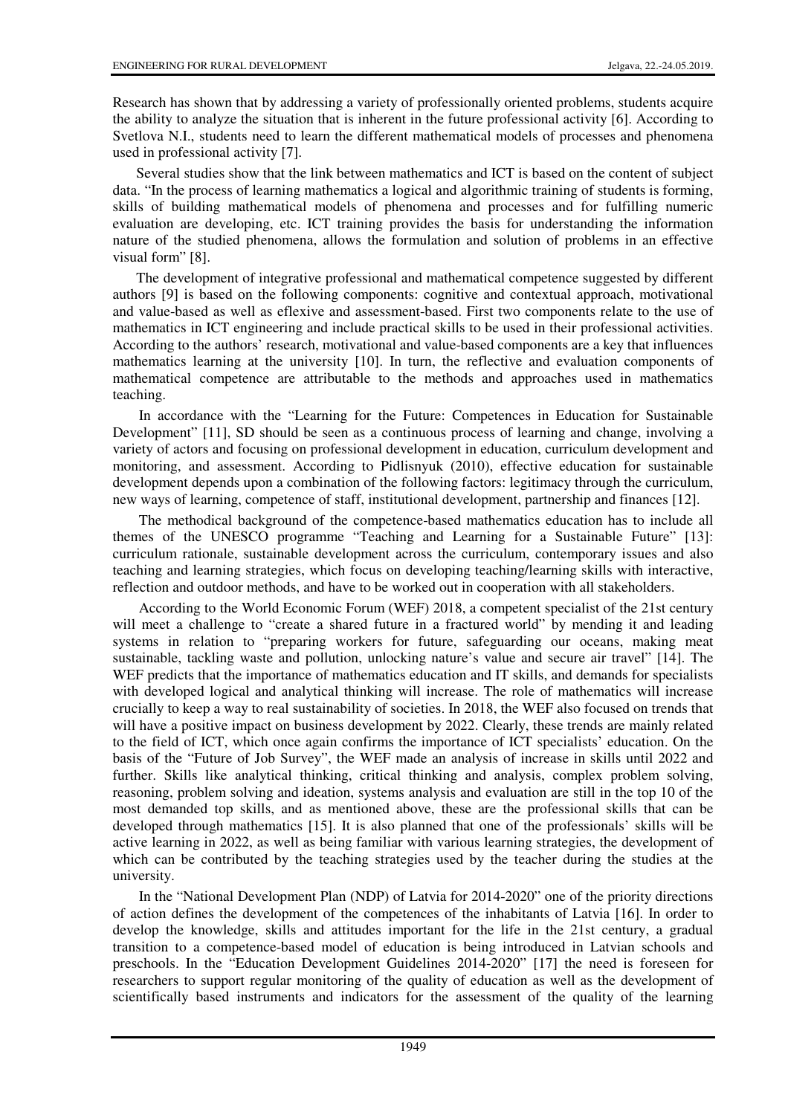Research has shown that by addressing a variety of professionally oriented problems, students acquire the ability to analyze the situation that is inherent in the future professional activity [6]. According to Svetlova N.I., students need to learn the different mathematical models of processes and phenomena used in professional activity [7].

Several studies show that the link between mathematics and ICT is based on the content of subject data. "In the process of learning mathematics a logical and algorithmic training of students is forming, skills of building mathematical models of phenomena and processes and for fulfilling numeric evaluation are developing, etc. ICT training provides the basis for understanding the information nature of the studied phenomena, allows the formulation and solution of problems in an effective visual form" [8].

The development of integrative professional and mathematical competence suggested by different authors [9] is based on the following components: cognitive and contextual approach, motivational and value-based as well as eflexive and assessment-based. First two components relate to the use of mathematics in ICT engineering and include practical skills to be used in their professional activities. According to the authors' research, motivational and value-based components are a key that influences mathematics learning at the university [10]. In turn, the reflective and evaluation components of mathematical competence are attributable to the methods and approaches used in mathematics teaching.

In accordance with the "Learning for the Future: Competences in Education for Sustainable Development" [11], SD should be seen as a continuous process of learning and change, involving a variety of actors and focusing on professional development in education, curriculum development and monitoring, and assessment. According to Pidlisnyuk (2010), effective education for sustainable development depends upon a combination of the following factors: legitimacy through the curriculum, new ways of learning, competence of staff, institutional development, partnership and finances [12].

The methodical background of the competence-based mathematics education has to include all themes of the UNESCO programme "Teaching and Learning for a Sustainable Future" [13]: curriculum rationale, sustainable development across the curriculum, contemporary issues and also teaching and learning strategies, which focus on developing teaching/learning skills with interactive, reflection and outdoor methods, and have to be worked out in cooperation with all stakeholders.

According to the World Economic Forum (WEF) 2018, a competent specialist of the 21st century will meet a challenge to "create a shared future in a fractured world" by mending it and leading systems in relation to "preparing workers for future, safeguarding our oceans, making meat sustainable, tackling waste and pollution, unlocking nature's value and secure air travel" [14]. The WEF predicts that the importance of mathematics education and IT skills, and demands for specialists with developed logical and analytical thinking will increase. The role of mathematics will increase crucially to keep a way to real sustainability of societies. In 2018, the WEF also focused on trends that will have a positive impact on business development by 2022. Clearly, these trends are mainly related to the field of ICT, which once again confirms the importance of ICT specialists' education. On the basis of the "Future of Job Survey", the WEF made an analysis of increase in skills until 2022 and further. Skills like analytical thinking, critical thinking and analysis, complex problem solving, reasoning, problem solving and ideation, systems analysis and evaluation are still in the top 10 of the most demanded top skills, and as mentioned above, these are the professional skills that can be developed through mathematics [15]. It is also planned that one of the professionals' skills will be active learning in 2022, as well as being familiar with various learning strategies, the development of which can be contributed by the teaching strategies used by the teacher during the studies at the university.

In the "National Development Plan (NDP) of Latvia for 2014-2020" one of the priority directions of action defines the development of the competences of the inhabitants of Latvia [16]. In order to develop the knowledge, skills and attitudes important for the life in the 21st century, a gradual transition to a competence-based model of education is being introduced in Latvian schools and preschools. In the "Education Development Guidelines 2014-2020" [17] the need is foreseen for researchers to support regular monitoring of the quality of education as well as the development of scientifically based instruments and indicators for the assessment of the quality of the learning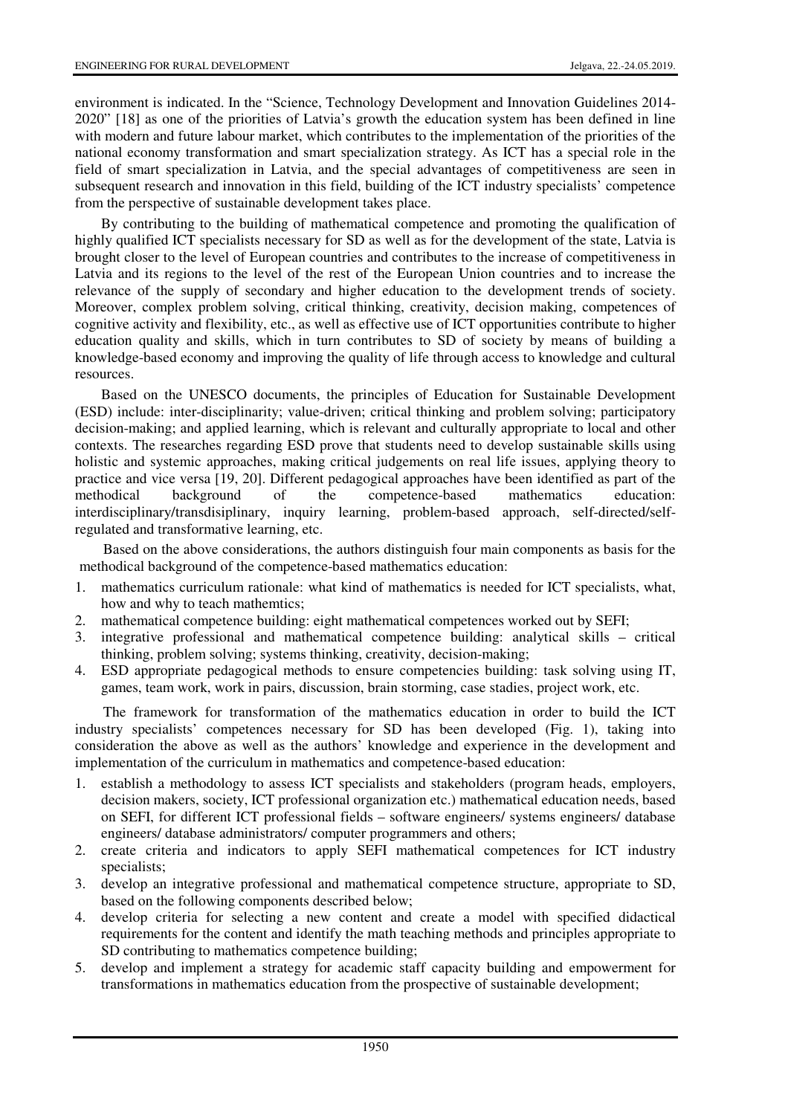environment is indicated. In the "Science, Technology Development and Innovation Guidelines 2014- 2020" [18] as one of the priorities of Latvia's growth the education system has been defined in line with modern and future labour market, which contributes to the implementation of the priorities of the national economy transformation and smart specialization strategy. As ICT has a special role in the field of smart specialization in Latvia, and the special advantages of competitiveness are seen in subsequent research and innovation in this field, building of the ICT industry specialists' competence from the perspective of sustainable development takes place.

By contributing to the building of mathematical competence and promoting the qualification of highly qualified ICT specialists necessary for SD as well as for the development of the state, Latvia is brought closer to the level of European countries and contributes to the increase of competitiveness in Latvia and its regions to the level of the rest of the European Union countries and to increase the relevance of the supply of secondary and higher education to the development trends of society. Moreover, complex problem solving, critical thinking, creativity, decision making, competences of cognitive activity and flexibility, etc., as well as effective use of ICT opportunities contribute to higher education quality and skills, which in turn contributes to SD of society by means of building a knowledge-based economy and improving the quality of life through access to knowledge and cultural resources.

Based on the UNESCO documents, the principles of Education for Sustainable Development (ESD) include: inter-disciplinarity; value-driven; critical thinking and problem solving; participatory decision-making; and applied learning, which is relevant and culturally appropriate to local and other contexts. The researches regarding ESD prove that students need to develop sustainable skills using holistic and systemic approaches, making critical judgements on real life issues, applying theory to practice and vice versa [19, 20]. Different pedagogical approaches have been identified as part of the methodical background of the competence-based mathematics education: interdisciplinary/transdisiplinary, inquiry learning, problem-based approach, self-directed/selfregulated and transformative learning, etc.

 Based on the above considerations, the authors distinguish four main components as basis for the methodical background of the competence-based mathematics education:

- 1. mathematics curriculum rationale: what kind of mathematics is needed for ICT specialists, what, how and why to teach mathemtics;
- 2. mathematical competence building: eight mathematical competences worked out by SEFI;
- 3. integrative professional and mathematical competence building: analytical skills critical thinking, problem solving; systems thinking, creativity, decision-making;
- 4. ESD appropriate pedagogical methods to ensure competencies building: task solving using IT, games, team work, work in pairs, discussion, brain storming, case stadies, project work, etc.

The framework for transformation of the mathematics education in order to build the ICT industry specialists' competences necessary for SD has been developed (Fig. 1), taking into consideration the above as well as the authors' knowledge and experience in the development and implementation of the curriculum in mathematics and competence-based education:

- 1. establish a methodology to assess ICT specialists and stakeholders (program heads, employers, decision makers, society, ICT professional organization etc.) mathematical education needs, based on SEFI, for different ICT professional fields – software engineers/ systems engineers/ database engineers/ database administrators/ computer programmers and others;
- 2. create criteria and indicators to apply SEFI mathematical competences for ICT industry specialists;
- 3. develop an integrative professional and mathematical competence structure, appropriate to SD, based on the following components described below;
- 4. develop criteria for selecting a new content and create a model with specified didactical requirements for the content and identify the math teaching methods and principles appropriate to SD contributing to mathematics competence building;
- 5. develop and implement a strategy for academic staff capacity building and empowerment for transformations in mathematics education from the prospective of sustainable development;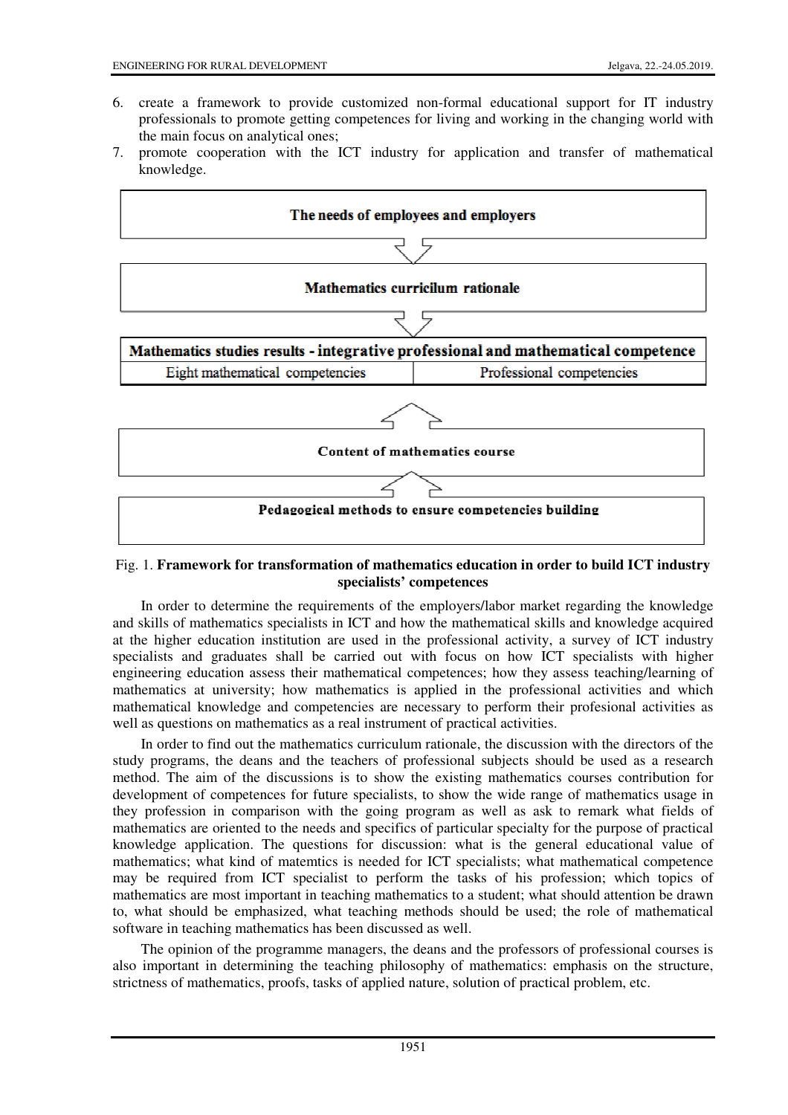- 6. create a framework to provide customized non-formal educational support for IT industry professionals to promote getting competences for living and working in the changing world with the main focus on analytical ones;
- 7. promote cooperation with the ICT industry for application and transfer of mathematical knowledge.



## Fig. 1. **Framework for transformation of mathematics education in order to build ICT industry specialists' competences**

In order to determine the requirements of the employers/labor market regarding the knowledge and skills of mathematics specialists in ICT and how the mathematical skills and knowledge acquired at the higher education institution are used in the professional activity, a survey of ICT industry specialists and graduates shall be carried out with focus on how ICT specialists with higher engineering education assess their mathematical competences; how they assess teaching/learning of mathematics at university; how mathematics is applied in the professional activities and which mathematical knowledge and competencies are necessary to perform their profesional activities as well as questions on mathematics as a real instrument of practical activities.

In order to find out the mathematics curriculum rationale, the discussion with the directors of the study programs, the deans and the teachers of professional subjects should be used as a research method. The aim of the discussions is to show the existing mathematics courses contribution for development of competences for future specialists, to show the wide range of mathematics usage in they profession in comparison with the going program as well as ask to remark what fields of mathematics are oriented to the needs and specifics of particular specialty for the purpose of practical knowledge application. The questions for discussion: what is the general educational value of mathematics; what kind of matemtics is needed for ICT specialists; what mathematical competence may be required from ICT specialist to perform the tasks of his profession; which topics of mathematics are most important in teaching mathematics to a student; what should attention be drawn to, what should be emphasized, what teaching methods should be used; the role of mathematical software in teaching mathematics has been discussed as well.

The opinion of the programme managers, the deans and the professors of professional courses is also important in determining the teaching philosophy of mathematics: emphasis on the structure, strictness of mathematics, proofs, tasks of applied nature, solution of practical problem, etc.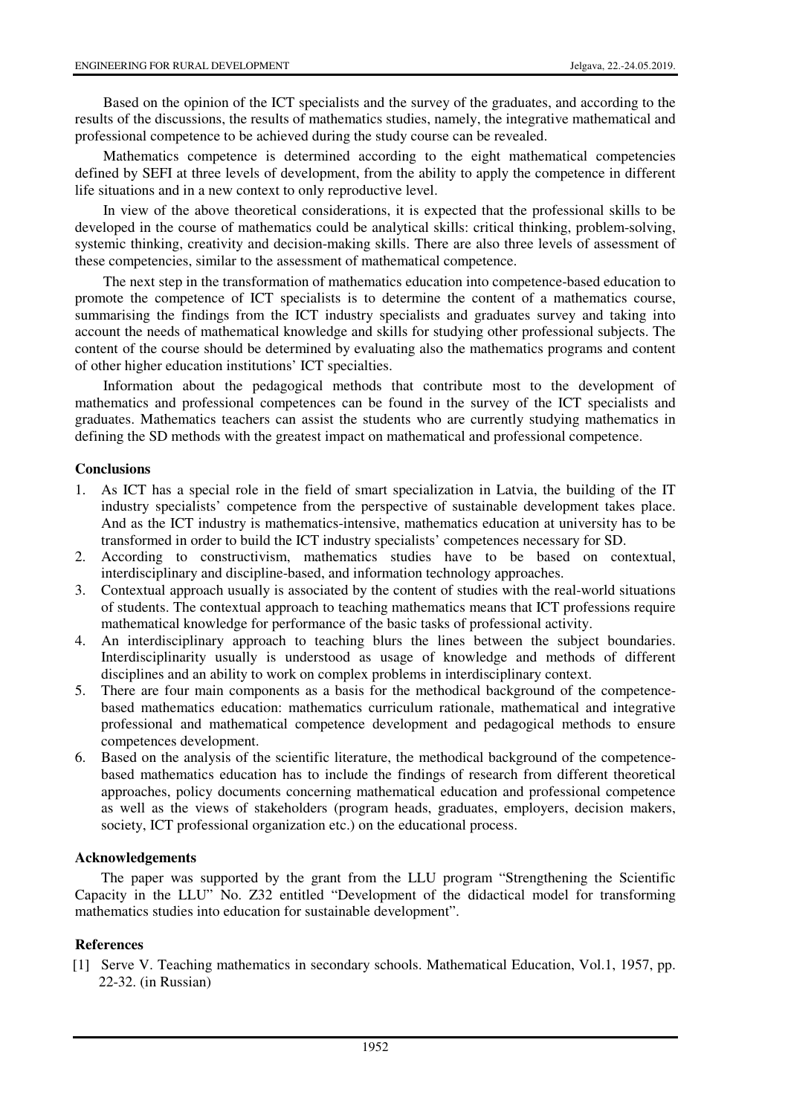Based on the opinion of the ICT specialists and the survey of the graduates, and according to the results of the discussions, the results of mathematics studies, namely, the integrative mathematical and professional competence to be achieved during the study course can be revealed.

Mathematics competence is determined according to the eight mathematical competencies defined by SEFI at three levels of development, from the ability to apply the competence in different life situations and in a new context to only reproductive level.

In view of the above theoretical considerations, it is expected that the professional skills to be developed in the course of mathematics could be analytical skills: critical thinking, problem-solving, systemic thinking, creativity and decision-making skills. There are also three levels of assessment of these competencies, similar to the assessment of mathematical competence.

The next step in the transformation of mathematics education into competence-based education to promote the competence of ICT specialists is to determine the content of a mathematics course, summarising the findings from the ICT industry specialists and graduates survey and taking into account the needs of mathematical knowledge and skills for studying other professional subjects. The content of the course should be determined by evaluating also the mathematics programs and content of other higher education institutions' ICT specialties.

Information about the pedagogical methods that contribute most to the development of mathematics and professional competences can be found in the survey of the ICT specialists and graduates. Mathematics teachers can assist the students who are currently studying mathematics in defining the SD methods with the greatest impact on mathematical and professional competence.

## **Conclusions**

- 1. As ICT has a special role in the field of smart specialization in Latvia, the building of the IT industry specialists' competence from the perspective of sustainable development takes place. And as the ICT industry is mathematics-intensive, mathematics education at university has to be transformed in order to build the ICT industry specialists' competences necessary for SD.
- 2. According to constructivism, mathematics studies have to be based on contextual, interdisciplinary and discipline-based, and information technology approaches.
- 3. Contextual approach usually is associated by the content of studies with the real-world situations of students. The contextual approach to teaching mathematics means that ICT professions require mathematical knowledge for performance of the basic tasks of professional activity.
- 4. An interdisciplinary approach to teaching blurs the lines between the subject boundaries. Interdisciplinarity usually is understood as usage of knowledge and methods of different disciplines and an ability to work on complex problems in interdisciplinary context.
- 5. There are four main components as a basis for the methodical background of the competencebased mathematics education: mathematics curriculum rationale, mathematical and integrative professional and mathematical competence development and pedagogical methods to ensure competences development.
- 6. Based on the analysis of the scientific literature, the methodical background of the competencebased mathematics education has to include the findings of research from different theoretical approaches, policy documents concerning mathematical education and professional competence as well as the views of stakeholders (program heads, graduates, employers, decision makers, society, ICT professional organization etc.) on the educational process.

## **Acknowledgements**

The paper was supported by the grant from the LLU program "Strengthening the Scientific Capacity in the LLU" No. Z32 entitled "Development of the didactical model for transforming mathematics studies into education for sustainable development".

# **References**

[1] Serve V. Teaching mathematics in secondary schools. Mathematical Education, Vol.1, 1957, pp. 22-32. (in Russian)